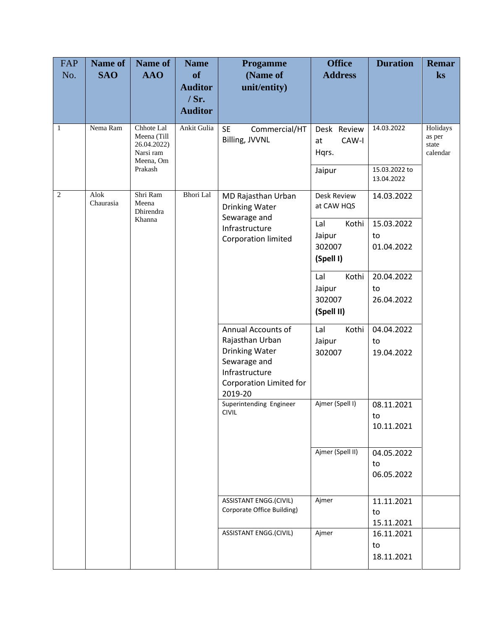| FAP<br>No.     | Name of<br><b>SAO</b> | Name of<br><b>AAO</b>                                                         | <b>Name</b><br><b>of</b><br><b>Auditor</b> | <b>Progamme</b><br>(Name of<br>unit/entity)                                                                                                                                              | <b>Office</b><br><b>Address</b>                | <b>Duration</b>                | <b>Remar</b><br>ks                      |
|----------------|-----------------------|-------------------------------------------------------------------------------|--------------------------------------------|------------------------------------------------------------------------------------------------------------------------------------------------------------------------------------------|------------------------------------------------|--------------------------------|-----------------------------------------|
|                |                       |                                                                               | $/$ Sr.<br><b>Auditor</b>                  |                                                                                                                                                                                          |                                                |                                |                                         |
| $\mathbf{1}$   | Nema Ram              | Chhote Lal<br>Meena (Till<br>26.04.2022)<br>Narsi ram<br>Meena, Om<br>Prakash | Ankit Gulia                                | <b>SE</b><br>Commercial/HT<br>Billing, JVVNL                                                                                                                                             | Desk Review<br>CAW-I<br>at<br>Hqrs.<br>Jaipur  | 14.03.2022<br>15.03.2022 to    | Holidays<br>as per<br>state<br>calendar |
| $\overline{c}$ | Alok<br>Chaurasia     | Shri Ram<br>Meena<br>Dhirendra                                                | <b>Bhori</b> Lal                           | MD Rajasthan Urban<br>Drinking Water                                                                                                                                                     | Desk Review<br>at CAW HQS                      | 13.04.2022<br>14.03.2022       |                                         |
|                |                       | Khanna                                                                        |                                            | Sewarage and<br>Infrastructure<br>Corporation limited<br>Annual Accounts of<br>Rajasthan Urban<br>Drinking Water<br>Sewarage and<br>Infrastructure<br>Corporation Limited for<br>2019-20 | Lal<br>Kothi<br>Jaipur<br>302007<br>(Spell I)  | 15.03.2022<br>to<br>01.04.2022 |                                         |
|                |                       |                                                                               |                                            |                                                                                                                                                                                          | Kothi<br>Lal<br>Jaipur<br>302007<br>(Spell II) | 20.04.2022<br>to<br>26.04.2022 |                                         |
|                |                       |                                                                               |                                            |                                                                                                                                                                                          | Kothi<br>Lal<br>Jaipur<br>302007               | 04.04.2022<br>to<br>19.04.2022 |                                         |
|                |                       |                                                                               |                                            | Superintending Engineer<br><b>CIVIL</b>                                                                                                                                                  | Ajmer (Spell I)                                | 08.11.2021<br>to<br>10.11.2021 |                                         |
|                |                       |                                                                               |                                            |                                                                                                                                                                                          | Ajmer (Spell II)                               | 04.05.2022<br>to<br>06.05.2022 |                                         |
|                |                       |                                                                               |                                            | <b>ASSISTANT ENGG.(CIVIL)</b><br>Corporate Office Building)                                                                                                                              | Ajmer                                          | 11.11.2021<br>to<br>15.11.2021 |                                         |
|                |                       |                                                                               |                                            | ASSISTANT ENGG.(CIVIL)                                                                                                                                                                   | Ajmer                                          | 16.11.2021<br>to<br>18.11.2021 |                                         |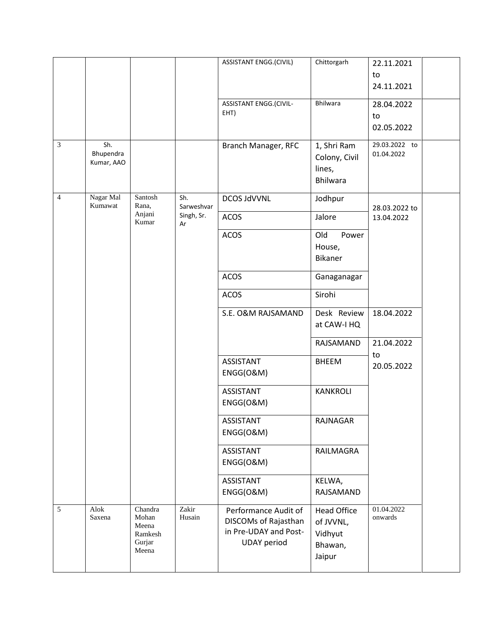|                                |                                                         |                   | <b>ASSISTANT ENGG.(CIVIL)</b>                                                               | Chittorgarh                                                     | 22.11.2021                                      |
|--------------------------------|---------------------------------------------------------|-------------------|---------------------------------------------------------------------------------------------|-----------------------------------------------------------------|-------------------------------------------------|
|                                |                                                         |                   |                                                                                             |                                                                 | to                                              |
|                                |                                                         |                   |                                                                                             |                                                                 | 24.11.2021                                      |
|                                |                                                         |                   | <b>ASSISTANT ENGG.(CIVIL-</b>                                                               | Bhilwara                                                        | 28.04.2022                                      |
|                                |                                                         |                   |                                                                                             |                                                                 | to                                              |
|                                |                                                         |                   |                                                                                             |                                                                 | 02.05.2022                                      |
| Sh.<br>Bhupendra<br>Kumar, AAO |                                                         |                   | Branch Manager, RFC                                                                         | 1, Shri Ram<br>Colony, Civil<br>lines,<br><b>Bhilwara</b>       | 29.03.2022 to<br>01.04.2022                     |
| Nagar Mal<br>Kumawat           | Santosh<br>Rana,                                        | Sh.<br>Sarweshvar | <b>DCOS JdVVNL</b>                                                                          | Jodhpur                                                         | 28.03.2022 to                                   |
|                                | Anjani<br>Kumar                                         | Singh, Sr.<br>Ar  | <b>ACOS</b>                                                                                 | Jalore                                                          | 13.04.2022                                      |
|                                |                                                         |                   | <b>ACOS</b>                                                                                 | Old<br>Power                                                    |                                                 |
|                                |                                                         |                   |                                                                                             | House,                                                          |                                                 |
|                                |                                                         |                   |                                                                                             |                                                                 |                                                 |
|                                |                                                         |                   | <b>ACOS</b>                                                                                 | Ganaganagar                                                     |                                                 |
|                                |                                                         |                   | <b>ACOS</b>                                                                                 | Sirohi                                                          |                                                 |
|                                |                                                         |                   | S.E. O&M RAJSAMAND                                                                          | Desk Review                                                     | 18.04.2022                                      |
|                                |                                                         |                   |                                                                                             |                                                                 |                                                 |
|                                |                                                         |                   |                                                                                             | RAJSAMAND                                                       | 21.04.2022<br>to                                |
|                                |                                                         |                   | <b>ASSISTANT</b><br>ENGG(O&M)                                                               | <b>BHEEM</b>                                                    | 20.05.2022                                      |
|                                |                                                         |                   |                                                                                             |                                                                 |                                                 |
|                                |                                                         |                   | ENGG(O&M)                                                                                   |                                                                 |                                                 |
|                                |                                                         |                   | <b>ASSISTANT</b>                                                                            | RAJNAGAR                                                        |                                                 |
|                                |                                                         |                   |                                                                                             |                                                                 |                                                 |
|                                |                                                         |                   | ENGG(O&M)                                                                                   |                                                                 |                                                 |
|                                |                                                         |                   | <b>ASSISTANT</b>                                                                            | KELWA,                                                          |                                                 |
|                                |                                                         |                   | ENGG(O&M)                                                                                   | <b>RAJSAMAND</b>                                                |                                                 |
| Alok<br>Saxena                 | Chandra<br>Mohan<br>Meena<br>Ramkesh<br>Gurjar<br>Meena | Zakir<br>Husain   | Performance Audit of<br>DISCOMs of Rajasthan<br>in Pre-UDAY and Post-<br><b>UDAY</b> period | <b>Head Office</b><br>of JVVNL,<br>Vidhyut<br>Bhawan,<br>Jaipur | 01.04.2022<br>onwards                           |
|                                |                                                         |                   |                                                                                             | EHT)<br><b>ASSISTANT</b><br>ENGG(O&M)<br><b>ASSISTANT</b>       | Bikaner<br>at CAW-I HQ<br>KANKROLI<br>RAILMAGRA |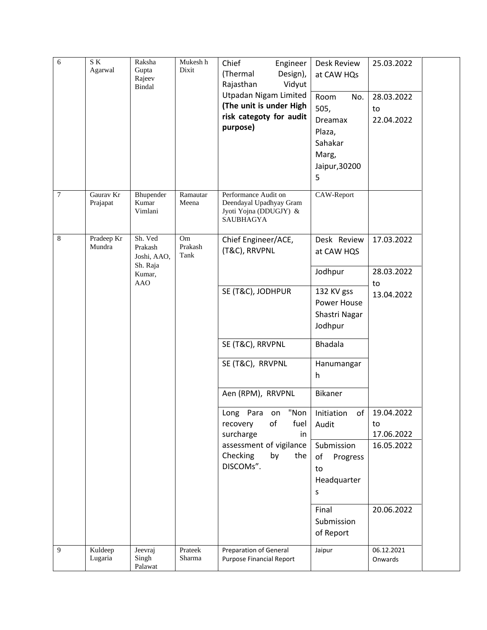| 6      | SK.<br>Agarwal        | Raksha<br>Gupta<br>Rajeev<br>Bindal           | Mukesh h<br>Dixit     | Chief<br>Engineer<br>(Thermal<br>Design),<br>Vidyut<br>Rajasthan<br><b>Utpadan Nigam Limited</b><br>(The unit is under High<br>risk categoty for audit<br>purpose) | <b>Desk Review</b><br>at CAW HQs<br>Room<br>No.<br>505,<br>Dreamax<br>Plaza,<br>Sahakar<br>Marg,<br>Jaipur, 30200<br>5 | 25.03.2022<br>28.03.2022<br>to<br>22.04.2022 |
|--------|-----------------------|-----------------------------------------------|-----------------------|--------------------------------------------------------------------------------------------------------------------------------------------------------------------|------------------------------------------------------------------------------------------------------------------------|----------------------------------------------|
| $\tau$ | Gaurav Kr<br>Prajapat | Bhupender<br>Kumar<br>Vimlani                 | Ramautar<br>Meena     | Performance Audit on<br>Deendayal Upadhyay Gram<br>Jyoti Yojna (DDUGJY) &<br>SAUBHAGYA                                                                             | CAW-Report                                                                                                             |                                              |
| 8      | Pradeep Kr<br>Mundra  | Sh. Ved<br>Prakash<br>Joshi, AAO,<br>Sh. Raja | Om<br>Prakash<br>Tank | Chief Engineer/ACE,<br>(T&C), RRVPNL                                                                                                                               | Desk Review<br>at CAW HQS                                                                                              | 17.03.2022                                   |
|        |                       | Kumar,<br><b>AAO</b>                          |                       |                                                                                                                                                                    | Jodhpur                                                                                                                | 28.03.2022<br>to                             |
|        |                       |                                               |                       | SE (T&C), JODHPUR                                                                                                                                                  | 132 KV gss<br>Power House<br>Shastri Nagar<br>Jodhpur                                                                  | 13.04.2022                                   |
|        |                       |                                               |                       | SE (T&C), RRVPNL                                                                                                                                                   | <b>Bhadala</b>                                                                                                         |                                              |
|        |                       |                                               |                       | SE (T&C), RRVPNL                                                                                                                                                   | Hanumangar<br>h                                                                                                        |                                              |
|        |                       |                                               |                       | Aen (RPM), RRVPNL                                                                                                                                                  | Bikaner                                                                                                                |                                              |
|        |                       |                                               |                       | "Non<br>Long Para<br>on<br>оf<br>fuel<br>recovery<br>surcharge<br>in                                                                                               | of<br>Initiation<br>Audit                                                                                              | 19.04.2022<br>to<br>17.06.2022               |
|        |                       |                                               |                       | assessment of vigilance<br>Checking<br>by<br>the<br>DISCOMs".                                                                                                      | Submission<br>of<br>Progress<br>to<br>Headquarter<br>S                                                                 | 16.05.2022                                   |
|        |                       |                                               |                       |                                                                                                                                                                    | Final<br>Submission<br>of Report                                                                                       | 20.06.2022                                   |
| 9      | Kuldeep<br>Lugaria    | Jeevraj<br>Singh<br>Palawat                   | Prateek<br>Sharma     | Preparation of General<br>Purpose Financial Report                                                                                                                 | Jaipur                                                                                                                 | 06.12.2021<br>Onwards                        |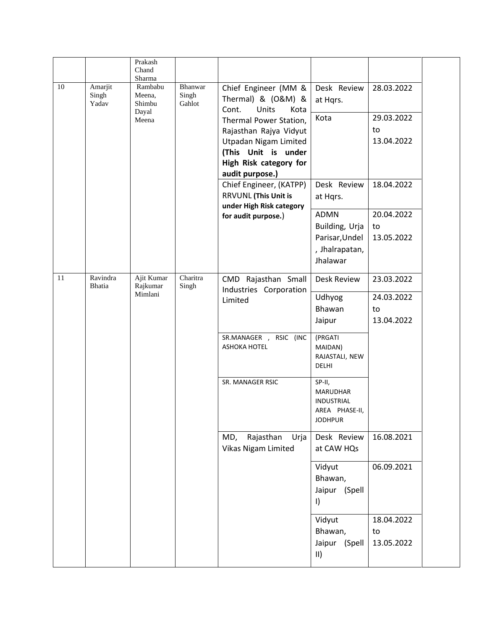|                                 | Chand                             |                            |                                                                                                                                                                                                    |                                                                                                          |                                                        |
|---------------------------------|-----------------------------------|----------------------------|----------------------------------------------------------------------------------------------------------------------------------------------------------------------------------------------------|----------------------------------------------------------------------------------------------------------|--------------------------------------------------------|
| 10<br>Amarjit<br>Singh<br>Yadav | Rambabu<br>Meena,<br>Shimbu       | Bhanwar<br>Singh<br>Gahlot | Chief Engineer (MM &<br>Thermal) & (O&M) &<br>Cont.<br>Units<br>Kota<br>Thermal Power Station,<br>Rajasthan Rajya Vidyut<br>Utpadan Nigam Limited<br>(This Unit is under<br>High Risk category for | Desk Review<br>at Hqrs.                                                                                  | 28.03.2022                                             |
|                                 | Meena                             |                            |                                                                                                                                                                                                    | Kota                                                                                                     | 29.03.2022                                             |
|                                 |                                   |                            |                                                                                                                                                                                                    |                                                                                                          | to                                                     |
|                                 |                                   |                            |                                                                                                                                                                                                    |                                                                                                          | 13.04.2022                                             |
|                                 |                                   |                            |                                                                                                                                                                                                    |                                                                                                          |                                                        |
|                                 |                                   |                            | <b>RRVUNL (This Unit is</b>                                                                                                                                                                        | at Hqrs.                                                                                                 | 18.04.2022                                             |
|                                 |                                   |                            |                                                                                                                                                                                                    |                                                                                                          | 20.04.2022                                             |
|                                 |                                   |                            |                                                                                                                                                                                                    |                                                                                                          | to                                                     |
|                                 |                                   |                            |                                                                                                                                                                                                    | Parisar, Undel                                                                                           | 13.05.2022                                             |
|                                 |                                   |                            |                                                                                                                                                                                                    | , Jhalrapatan,<br>Jhalawar                                                                               |                                                        |
| Ravindra<br><b>Bhatia</b>       | Ajit Kumar<br>Rajkumar<br>Mimlani | Charitra<br>Singh          | CMD Rajasthan Small<br>Industries Corporation                                                                                                                                                      | <b>Desk Review</b>                                                                                       | 23.03.2022                                             |
|                                 |                                   |                            |                                                                                                                                                                                                    |                                                                                                          | 24.03.2022                                             |
|                                 |                                   |                            |                                                                                                                                                                                                    | Bhawan                                                                                                   | to                                                     |
|                                 |                                   |                            |                                                                                                                                                                                                    | Jaipur                                                                                                   | 13.04.2022                                             |
|                                 |                                   |                            | SR.MANAGER , RSIC (INC<br><b>ASHOKA HOTEL</b>                                                                                                                                                      | (PRGATI<br>MAIDAN)<br>RAJASTALI, NEW<br><b>DELHI</b>                                                     |                                                        |
|                                 |                                   |                            | SR. MANAGER RSIC                                                                                                                                                                                   | SP-II,<br><b>MARUDHAR</b><br><b>INDUSTRIAL</b><br>AREA PHASE-II,<br><b>JODHPUR</b>                       |                                                        |
|                                 |                                   |                            | Rajasthan<br>MD,<br>Urja<br>Vikas Nigam Limited                                                                                                                                                    | Desk Review<br>at CAW HQs                                                                                | 16.08.2021                                             |
|                                 |                                   |                            |                                                                                                                                                                                                    | Vidyut<br>Bhawan,<br>Jaipur (Spell                                                                       | 06.09.2021                                             |
|                                 |                                   |                            |                                                                                                                                                                                                    | $\vert$                                                                                                  |                                                        |
|                                 |                                   |                            |                                                                                                                                                                                                    | Vidyut                                                                                                   | 18.04.2022                                             |
|                                 |                                   |                            |                                                                                                                                                                                                    | Bhawan,                                                                                                  | to                                                     |
|                                 |                                   | Prakash<br>Sharma<br>Dayal |                                                                                                                                                                                                    | audit purpose.)<br>Chief Engineer, (KATPP)<br>under High Risk category<br>for audit purpose.)<br>Limited | Desk Review<br><b>ADMN</b><br>Building, Urja<br>Udhyog |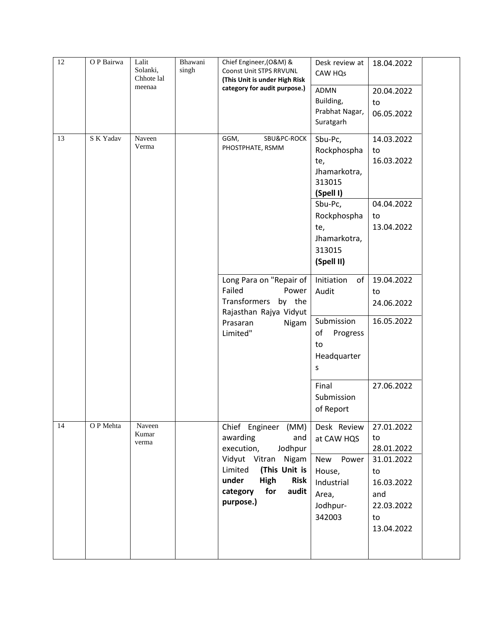| 12 | O P Bairwa | Lalit<br>Solanki,<br>Chhote lal<br>meenaa | Bhawani<br>singh | Chief Engineer, (O&M) &<br>Coonst Unit STPS RRVUNL<br>(This Unit is under High Risk<br>category for audit purpose.)                                                                            | Desk review at<br>CAW HQs<br>ADMN<br>Building,<br>Prabhat Nagar,<br>Suratgarh                 | 18.04.2022<br>20.04.2022<br>to<br>06.05.2022                                                              |  |
|----|------------|-------------------------------------------|------------------|------------------------------------------------------------------------------------------------------------------------------------------------------------------------------------------------|-----------------------------------------------------------------------------------------------|-----------------------------------------------------------------------------------------------------------|--|
| 13 | S K Yadav  | Naveen<br>Verma                           |                  | SBU&PC-ROCK<br>GGM,<br>PHOSTPHATE, RSMM                                                                                                                                                        | Sbu-Pc,<br>Rockphospha<br>te,<br>Jhamarkotra,<br>313015<br>(Spell I)<br>Sbu-Pc,               | 14.03.2022<br>to<br>16.03.2022<br>04.04.2022                                                              |  |
|    |            |                                           |                  |                                                                                                                                                                                                | Rockphospha<br>te,<br>Jhamarkotra,<br>313015<br>(Spell II)                                    | to<br>13.04.2022                                                                                          |  |
|    |            |                                           |                  | Long Para on "Repair of<br>Failed<br>Power<br>Transformers<br>by the<br>Rajasthan Rajya Vidyut                                                                                                 | Initiation<br>of<br>Audit                                                                     | 19.04.2022<br>to<br>24.06.2022                                                                            |  |
|    |            |                                           |                  | Prasaran<br>Nigam<br>Limited"                                                                                                                                                                  | Submission<br>of<br>Progress<br>to<br>Headquarter<br>S                                        | 16.05.2022                                                                                                |  |
|    |            |                                           |                  |                                                                                                                                                                                                | Final<br>Submission<br>of Report                                                              | 27.06.2022                                                                                                |  |
| 14 | O P Mehta  | Naveen<br>Kumar<br>verma                  |                  | Chief Engineer (MM)<br>awarding<br>and<br>execution,<br>Jodhpur<br>Vidyut Vitran<br>Nigam<br>Limited<br>(This Unit is<br>under<br>High<br><b>Risk</b><br>for<br>category<br>audit<br>purpose.) | Desk Review<br>at CAW HQS<br>New Power<br>House,<br>Industrial<br>Area,<br>Jodhpur-<br>342003 | 27.01.2022<br>to<br>28.01.2022<br>31.01.2022<br>to<br>16.03.2022<br>and<br>22.03.2022<br>to<br>13.04.2022 |  |